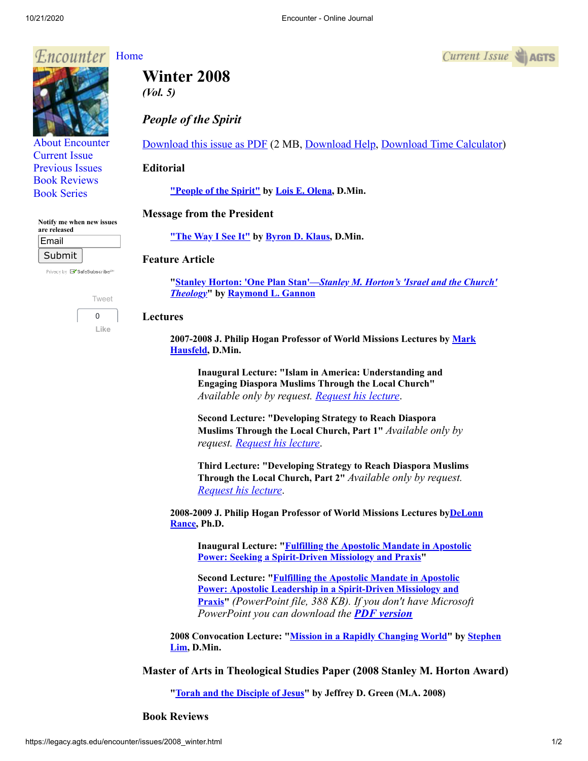#### Encounter [Home](http://legacy.agts.edu/encounter/index.htm)



*(Vol. 5)*

*People of the Spirit*

[Download this issue as PDF](https://legacy.agts.edu/encounter/issues/2008winter.pdf) (2 MB, [Download Help](javascript:;), [Download Time Calculator](http://www.onlineconversion.com/downloadspeed.htm))

## **Editorial**

**["People of the Spirit"](https://legacy.agts.edu/encounter/articles/2008_winter/editorial.htm) by [Lois E. Olena,](https://legacy.agts.edu/faculty/visiting.html#olena) D.Min.**

# **Message from the President**

**["The Way I See It"](https://legacy.agts.edu/encounter/articles/2008_winter/klaus.htm) by [Byron D. Klaus](http://legacy.agts.edu/faculty/klaus.html), D.Min.**

## **Feature Article**

**"Stanley Horton: 'One Plan Stan'—***[Stanley M. Horton's 'Israel and the Church'](https://legacy.agts.edu/encounter/articles/2008_winter/gannon.htm) Theology***" by [Raymond L. Gannon](https://legacy.agts.edu/faculty/visiting.html#gannon)**

## **Lectures**

**[2007-2008 J. Philip Hogan Professor of World Missions Lectures by Mark](https://legacy.agts.edu/faculty/visiting.html#hausfeld) Hausfeld, D.Min.**

**Inaugural Lecture: "Islam in America: Understanding and Engaging Diaspora Muslims Through the Local Church"** *Available only by request. [Request his lecture](https://legacy.agts.edu/news/news_archives/2007_10hausfeld_mark_form.html)*.

**Second Lecture: "Developing Strategy to Reach Diaspora Muslims Through the Local Church, Part 1"** *Available only by request. [Request his lecture](https://legacy.agts.edu/news/news_archives/2007_10hausfeld_mark_form.html)*.

**Third Lecture: "Developing Strategy to Reach Diaspora Muslims Through the Local Church, Part 2"** *Available only by request. [Request his lecture](https://legacy.agts.edu/news/news_archives/2007_10hausfeld_mark_form.html)*.

**[2008-2009 J. Philip Hogan Professor of World Missions Lectures byDeLonn](https://legacy.agts.edu/faculty/rance.html) Rance, Ph.D.**

**[Inaugural Lecture: "Fulfilling the Apostolic Mandate in Apostolic](https://legacy.agts.edu/encounter/articles/2008_winter/rance.htm) Power: Seeking a Spirit-Driven Missiology and Praxis"**

**[Second Lecture: "Fulfilling the Apostolic Mandate in Apostolic](https://legacy.agts.edu/encounter/articles/2008_winter/rance2.ppt) Power: Apostolic Leadership in a Spirit-Driven Missiology and Praxis"** *(PowerPoint file, 388 KB). If you don't have Microsoft PowerPoint you can download the PDF [version](https://legacy.agts.edu/encounter/articles/2008_winter/rance2.pdf)*

**[2008 Convocation Lecture: "M](https://legacy.agts.edu/faculty/lim.html)[ission in a Rapidly Changing World](https://legacy.agts.edu/encounter/articles/2008_winter/lim.htm)[" by Stephen](https://legacy.agts.edu/faculty/lim.html) Lim, D.Min.**

**Master of Arts in Theological Studies Paper (2008 Stanley M. Horton Award)**

**"[Torah and the Disciple of Jesus](https://legacy.agts.edu/encounter/articles/2008_winter/green.htm)" by Jeffrey D. Green (M.A. 2008)**

**Book Reviews**

 $Current$  Issue  $\blacktriangleright$  AGTS

| <b>Book Reviews</b>                       |  |
|-------------------------------------------|--|
| <b>Book Series</b>                        |  |
|                                           |  |
| Notify me when new issues<br>are released |  |

Email Submit

Privacy by **EV** SafeSubscribe<sup>st</sup>

[About Encounter](http://legacy.agts.edu/encounter/about.html) [Current Issue](http://legacy.agts.edu/encounter/current.html) [Previous Issues](http://legacy.agts.edu/encounter/previous.html)

> [Tweet](https://twitter.com/intent/tweet?original_referer=https%3A%2F%2Flegacy.agts.edu%2F&ref_src=twsrc%5Etfw&related=anywhereTheJavascriptAPI&text=Encounter%20-%20Online%20Journal&tw_p=tweetbutton&url=http%3A%2F%2Flegacy.agts.edu%2Fencounter%2Fbook_reviews%2F2012summer%2Freview_au.html&via=AGTSTweets)  $\Omega$ **Like**